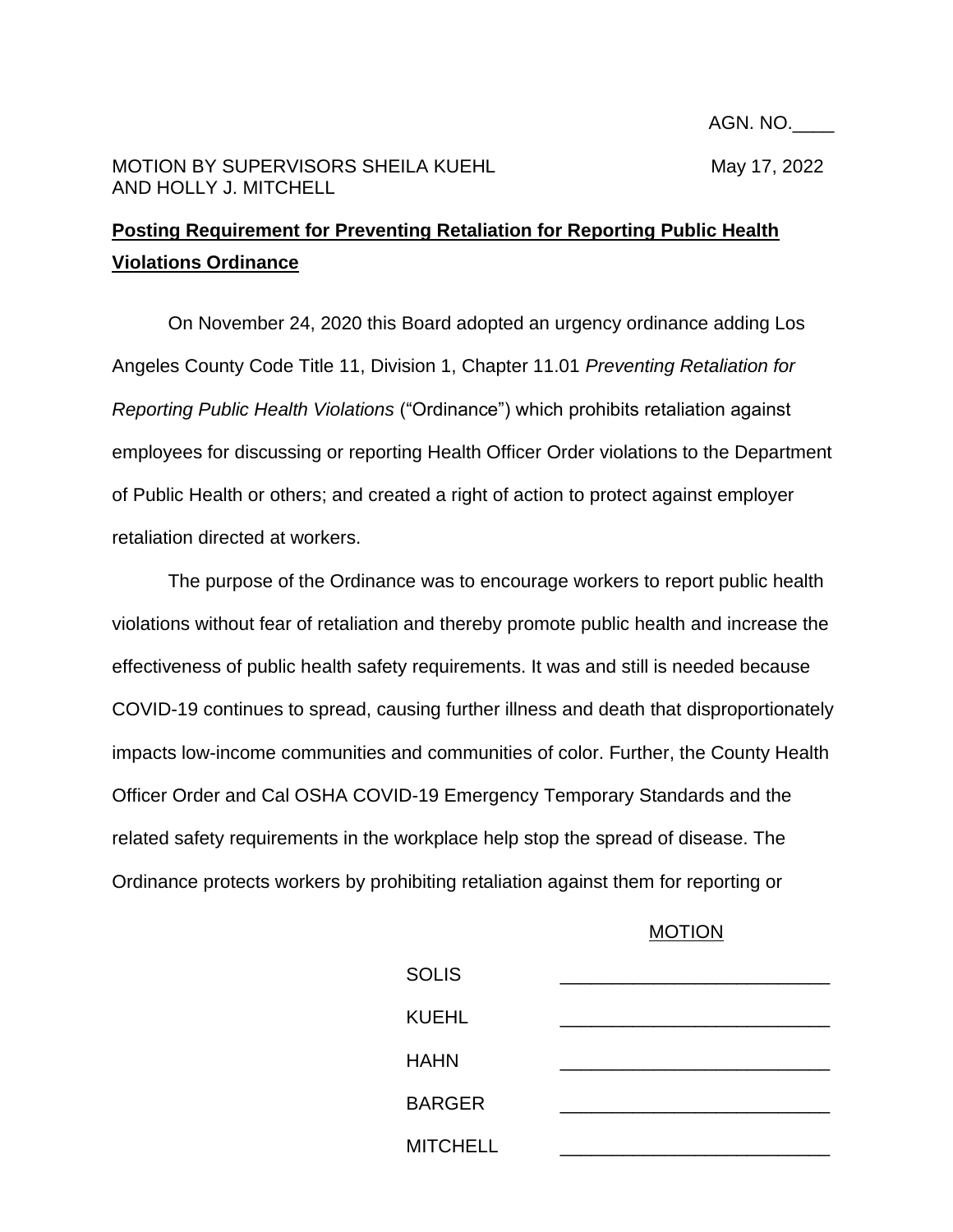## MOTION BY SUPERVISORS SHEILA KUEHL MARIAL MAY 17, 2022 AND HOLLY J. MITCHELL

## **Posting Requirement for Preventing Retaliation for Reporting Public Health Violations Ordinance**

On November 24, 2020 this Board adopted an urgency ordinance adding Los Angeles County Code Title 11, Division 1, Chapter 11.01 *Preventing Retaliation for Reporting Public Health Violations* ("Ordinance") which prohibits retaliation against employees for discussing or reporting Health Officer Order violations to the Department of Public Health or others; and created a right of action to protect against employer retaliation directed at workers.

The purpose of the Ordinance was to encourage workers to report public health violations without fear of retaliation and thereby promote public health and increase the effectiveness of public health safety requirements. It was and still is needed because COVID-19 continues to spread, causing further illness and death that disproportionately impacts low-income communities and communities of color. Further, the County Health Officer Order and Cal OSHA COVID-19 Emergency Temporary Standards and the related safety requirements in the workplace help stop the spread of disease. The Ordinance protects workers by prohibiting retaliation against them for reporting or

## MOTION

| <b>SOLIS</b>    |  |
|-----------------|--|
| <b>KUEHL</b>    |  |
| <b>HAHN</b>     |  |
| <b>BARGER</b>   |  |
| <b>MITCHELL</b> |  |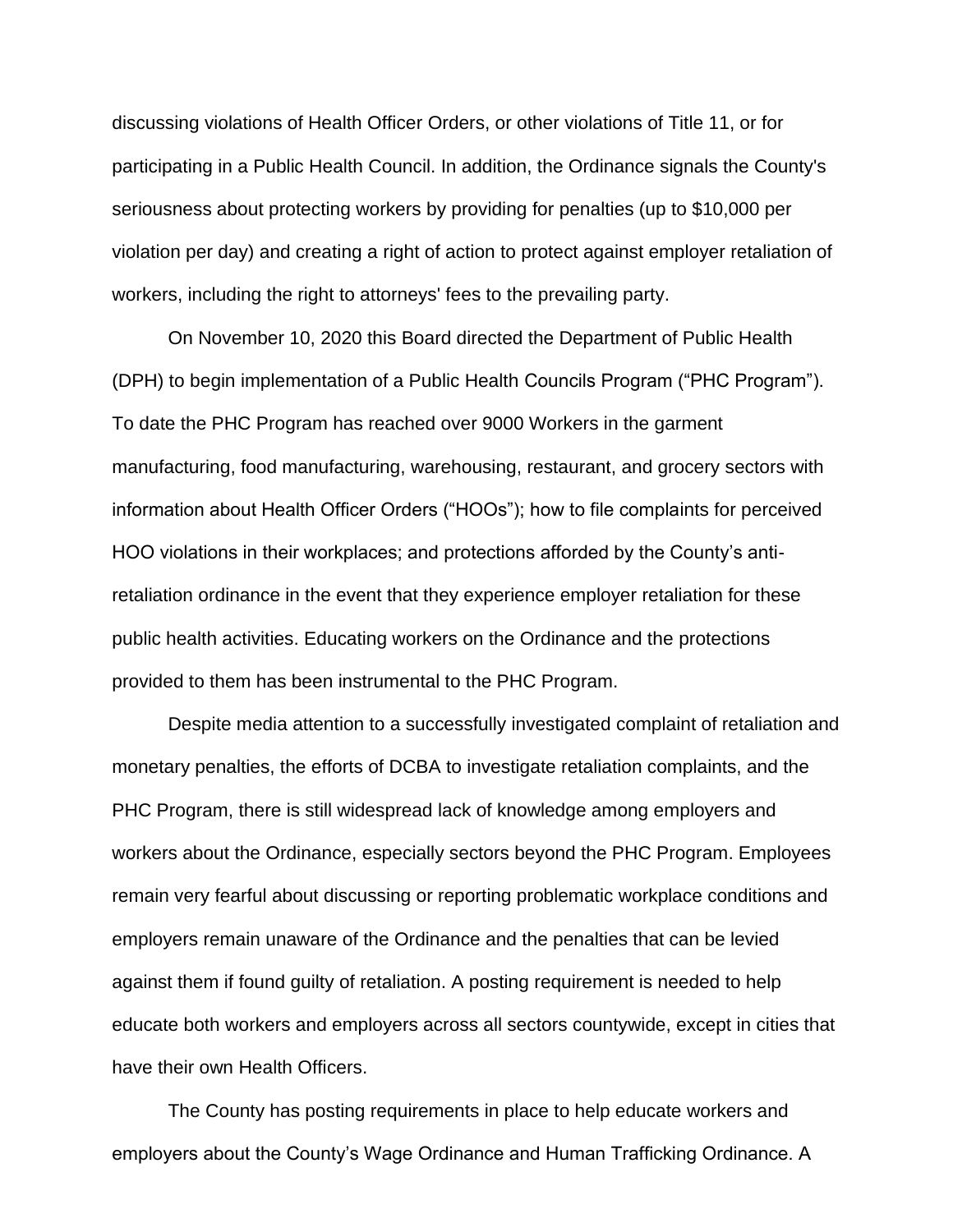discussing violations of Health Officer Orders, or other violations of Title 11, or for participating in a Public Health Council. In addition, the Ordinance signals the County's seriousness about protecting workers by providing for penalties (up to \$10,000 per violation per day) and creating a right of action to protect against employer retaliation of workers, including the right to attorneys' fees to the prevailing party.

On November 10, 2020 this Board directed the Department of Public Health (DPH) to begin implementation of a Public Health Councils Program ("PHC Program"). To date the PHC Program has reached over 9000 Workers in the garment manufacturing, food manufacturing, warehousing, restaurant, and grocery sectors with information about Health Officer Orders ("HOOs"); how to file complaints for perceived HOO violations in their workplaces; and protections afforded by the County's antiretaliation ordinance in the event that they experience employer retaliation for these public health activities. Educating workers on the Ordinance and the protections provided to them has been instrumental to the PHC Program.

Despite media attention to a successfully investigated complaint of retaliation and monetary penalties, the efforts of DCBA to investigate retaliation complaints, and the PHC Program, there is still widespread lack of knowledge among employers and workers about the Ordinance, especially sectors beyond the PHC Program. Employees remain very fearful about discussing or reporting problematic workplace conditions and employers remain unaware of the Ordinance and the penalties that can be levied against them if found guilty of retaliation. A posting requirement is needed to help educate both workers and employers across all sectors countywide, except in cities that have their own Health Officers.

The County has posting requirements in place to help educate workers and employers about the County's Wage Ordinance and Human Trafficking Ordinance. A